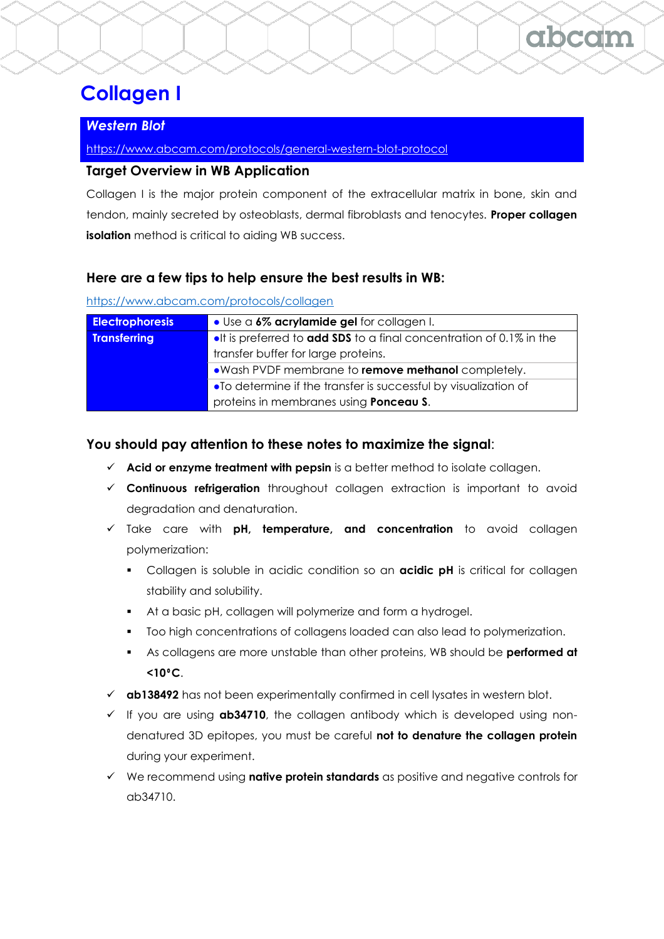# **Collagen I**

# *Western Blot*

<https://www.abcam.com/protocols/general-western-blot-protocol>

## **Target Overview in WB Application**

Collagen I is the major protein component of the extracellular matrix in bone, skin and tendon, mainly secreted by osteoblasts, dermal fibroblasts and tenocytes. **Proper collagen isolation** method is critical to aiding WB success.

### **Here are a few tips to help ensure the best results in WB:**

<https://www.abcam.com/protocols/collagen>

| <b>Electrophoresis</b> | • Use a 6% acrylamide gel for collagen I.                                          |
|------------------------|------------------------------------------------------------------------------------|
| <b>Transferring</b>    | <b>.</b> It is preferred to <b>add SDS</b> to a final concentration of 0.1% in the |
|                        | transfer buffer for large proteins.                                                |
|                        | .Wash PVDF membrane to remove methanol completely.                                 |
|                        | •To determine if the transfer is successful by visualization of                    |
|                        | proteins in membranes using <b>Ponceau S.</b>                                      |

### **You should pay attention to these notes to maximize the signal**:

- ✓ **Acid or enzyme treatment with pepsin** is a better method to isolate collagen.
- ✓ **Continuous refrigeration** throughout collagen extraction is important to avoid degradation and denaturation.
- ✓ Take care with **pH, temperature, and concentration** to avoid collagen polymerization:
	- **EXECOL** Collagen is soluble in acidic condition so an **acidic pH** is critical for collagen stability and solubility.
	- At a basic pH, collagen will polymerize and form a hydrogel.
	- Too high concentrations of collagens loaded can also lead to polymerization.
	- As collagens are more unstable than other proteins, WB should be **performed at <10**⁰**C**.
- ✓ **ab138492** has not been experimentally confirmed in cell lysates in western blot.
- ✓ If you are using **ab34710**, the collagen antibody which is developed using nondenatured 3D epitopes, you must be careful **not to denature the collagen protein** during your experiment.
- ✓ We recommend using **native protein standards** as positive and negative controls for ab34710.